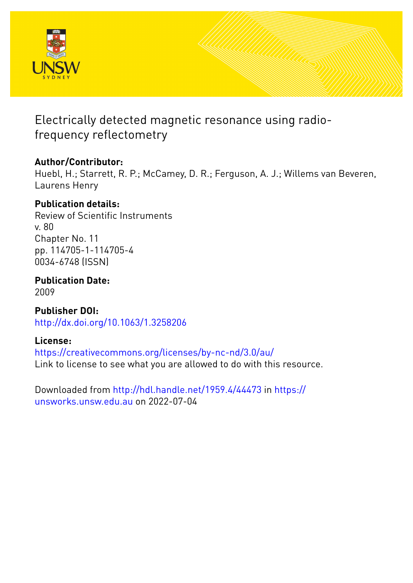

# Electrically detected magnetic resonance using radiofrequency reflectometry

## **Author/Contributor:**

Huebl, H.; Starrett, R. P.; McCamey, D. R.; Ferguson, A. J.; Willems van Beveren, Laurens Henry

## **Publication details:**

Review of Scientific Instruments v. 80 Chapter No. 11 pp. 114705-1-114705-4 0034-6748 (ISSN)

**Publication Date:** 2009

**Publisher DOI:** [http://dx.doi.org/10.1063/1.3258206](http://dx.doi.org/http://dx.doi.org/10.1063/1.3258206)

#### **License:**

<https://creativecommons.org/licenses/by-nc-nd/3.0/au/> Link to license to see what you are allowed to do with this resource.

Downloaded from <http://hdl.handle.net/1959.4/44473> in [https://](https://unsworks.unsw.edu.au) [unsworks.unsw.edu.au](https://unsworks.unsw.edu.au) on 2022-07-04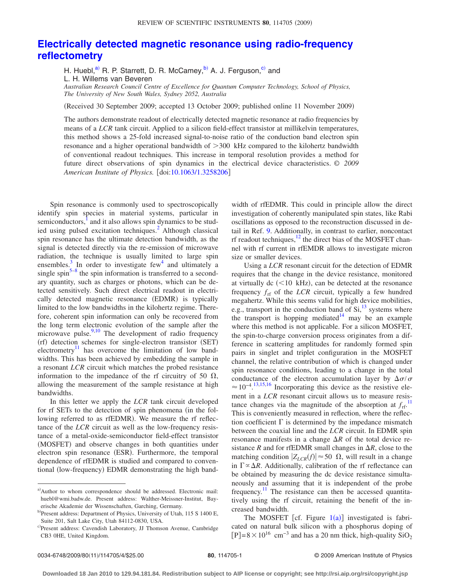#### **[Electrically detected magnetic resonance using radio-frequency](http://dx.doi.org/10.1063/1.3258206) [reflectometry](http://dx.doi.org/10.1063/1.3258206)**

H. Huebl,<sup>a)</sup> R. P. Starrett, D. R. McCamey,  $b$ <sup>2</sup> A. J. Ferguson, <sup>c</sup> and L. H. Willems van Beveren *Australian Research Council Centre of Excellence for Quantum Computer Technology, School of Physics, The University of New South Wales, Sydney 2052, Australia*

Received 30 September 2009; accepted 13 October 2009; published online 11 November 2009-

The authors demonstrate readout of electrically detected magnetic resonance at radio frequencies by means of a *LCR* tank circuit. Applied to a silicon field-effect transistor at millikelvin temperatures, this method shows a 25-fold increased signal-to-noise ratio of the conduction band electron spin resonance and a higher operational bandwidth of 300 kHz compared to the kilohertz bandwidth of conventional readout techniques. This increase in temporal resolution provides a method for future direct observations of spin dynamics in the electrical device characteristics. *© 2009 American Institute of Physics.* [doi[:10.1063/1.3258206](http://dx.doi.org/10.1063/1.3258206)]

Spin resonance is commonly used to spectroscopically identify spin species in material systems, particular in semiconductors,<sup>1</sup> and it also allows spin dynamics to be studied using pulsed excitation techniques.<sup>2</sup> Although classical spin resonance has the ultimate detection bandwidth, as the signal is detected directly via the re-emission of microwave radiation, the technique is usually limited to large spin ensembles. $\frac{3}{5}$  In order to investigate few<sup>4</sup> and ultimately a single spin<sup>5–[8](#page-4-0)</sup> the spin information is transferred to a secondary quantity, such as charges or photons, which can be detected sensitively. Such direct electrical readout in electrically detected magnetic resonance (EDMR) is typically limited to the low bandwidths in the kilohertz regime. Therefore, coherent spin information can only be recovered from the long term electronic evolution of the sample after the microwave pulse. $9,10$  $9,10$  The development of radio frequency (rf) detection schemes for single-electron transistor (SET) electrometry<sup>11</sup> has overcome the limitation of low bandwidths. This has been achieved by embedding the sample in a resonant *LCR* circuit which matches the probed resistance information to the impedance of the rf circuitry of 50  $\Omega$ , allowing the measurement of the sample resistance at high bandwidths.

In this letter we apply the *LCR* tank circuit developed for rf SETs to the detection of spin phenomena (in the following referred to as rfEDMR). We measure the rf reflectance of the *LCR* circuit as well as the low-frequency resistance of a metal-oxide-semiconductor field-effect transistor (MOSFET) and observe changes in both quantities under electron spin resonance (ESR). Furthermore, the temporal dependence of rfEDMR is studied and compared to conventional (low-frequency) EDMR demonstrating the high bandwidth of rfEDMR. This could in principle allow the direct investigation of coherently manipulated spin states, like Rabi oscillations as opposed to the reconstruction discussed in detail in Ref. [9.](#page-4-1) Additionally, in contrast to earlier, noncontact rf readout techniques, $12$  the direct bias of the MOSFET channel with rf current in rfEMDR allows to investigate micron size or smaller devices.

Using a *LCR* resonant circuit for the detection of EDMR requires that the change in the device resistance, monitored at virtually  $dc$  (<10 kHz), can be detected at the resonance frequency  $f_{\text{rf}}$  of the *LCR* circuit, typically a few hundred megahertz. While this seems valid for high device mobilities, e.g., transport in the conduction band of  $Si<sup>13</sup>$ , systems where the transport is hopping mediated $14$  may be an example where this method is not applicable. For a silicon MOSFET, the spin-to-charge conversion process originates from a difference in scattering amplitudes for randomly formed spin pairs in singlet and triplet configuration in the MOSFET channel, the relative contribution of which is changed under spin resonance conditions, leading to a change in the total conductance of the electron accumulation layer by  $\Delta \sigma / \sigma$  $\approx 10^{-4}$ .<sup>[13,](#page-4-5)[15,](#page-4-7)[16](#page-4-8)</sup> Incorporating this device as the resistive element in a *LCR* resonant circuit allows us to measure resistance changes via the magnitude of the absorption at  $f_{\text{rf}}$ .<sup>[11](#page-4-3)</sup> This is conveniently measured in reflection, where the reflection coefficient  $\Gamma$  is determined by the impedance mismatch between the coaxial line and the *LCR* circuit. In EDMR spin resonance manifests in a change  $\Delta R$  of the total device resistance *R* and for rfEDMR small changes in  $\Delta R$ , close to the matching condition  $|Z_{LCR}(f)| \approx 50 \Omega$ , will result in a change in  $\Gamma \propto \Delta R$ . Additionally, calibration of the rf reflectance can be obtained by measuring the dc device resistance simultaneously and assuming that it is independent of the probe frequency.<sup>11</sup> The resistance can then be accessed quantitatively using the rf circuit, retaining the benefit of the increased bandwidth.

The MOSFET [cf. Figure  $1(a)$  $1(a)$ ] investigated is fabricated on natural bulk silicon with a phosphorus doping of [P]= $8 \times 10^{16}$  cm<sup>-3</sup> and has a 20 nm thick, high-quality SiO<sub>2</sub>

<span id="page-1-0"></span>a)Author to whom correspondence should be addressed. Electronic mail: huebl@wmi.badw.de. Present address: Walther-Meissner-Institut, Bayerische Akademie der Wissenschaften, Garching, Germany.

<span id="page-1-1"></span>b) Present address: Department of Physics, University of Utah, 115 S 1400 E, Suite 201, Salt Lake City, Utah 84112-0830, USA.

<span id="page-1-2"></span>c)Present address: Cavendish Laboratory, JJ Thomson Avenue, Cambridge CB3 0HE, United Kingdom.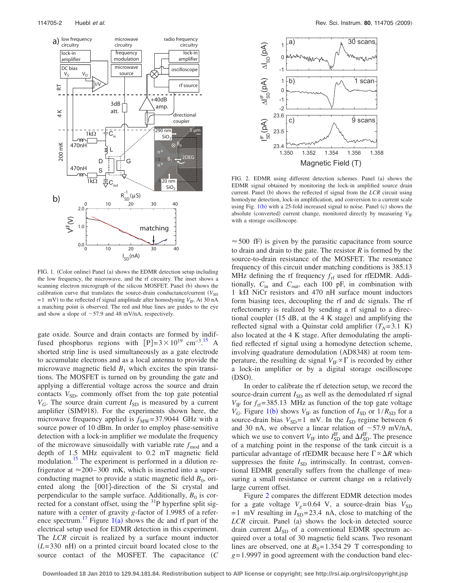<span id="page-2-0"></span>

FIG. 1. (Color online) Panel (a) shows the EDMR detection setup including the low frequency, the microwave, and the rf circuitry. The inset shows a scanning electron micrograph of the silicon MOSFET. Panel (b) shows the calibration curve that translates the source-drain conductance/current  $(V_{SD})$  $= 1$  mV) to the reflected rf signal amplitude after homodyning *V*<sub>IF</sub>. At 30 nA a matching point is observed. The red and blue lines are guides to the eye and show a slope of  $-57.9$  and 48 mV/nA, respectively.

gate oxide. Source and drain contacts are formed by indiffused phosphorus regions with  $[P]=3\times10^{19} \text{ cm}^{-3}$ .<sup>[15](#page-4-7)</sup> A shorted strip line is used simultaneously as a gate electrode to accumulate electrons and as a local antenna to provide the microwave magnetic field  $B_1$  which excites the spin transitions. The MOSFET is turned on by grounding the gate and applying a differential voltage across the source and drain contacts  $V_{SD}$ , commonly offset from the top gate potential  $V_G$ . The source drain current  $I_{SD}$  is measured by a current amplifier (SIM918). For the experiments shown here, the microwave frequency applied is  $f_{\text{MW}} = 37.9044$  GHz with a source power of 10 dBm. In order to employ phase-sensitive detection with a lock-in amplifier we modulate the frequency of the microwave sinusoidally with variable rate  $f_{\text{mod}}$  and a depth of 1.5 MHz equivalent to 0.2 mT magnetic field modulation.<sup>15</sup> The experiment is performed in a dilution refrigerator at  $\approx$  200–300 mK, which is inserted into a superconducting magnet to provide a static magnetic field  $B_0$ , oriented along the [001]-direction of the Si crystal and perpendicular to the sample surface. Additionally,  $B_0$  is corrected for a constant offset, using the  $31P$  hyperfine split signature with a center of gravity *g*-factor of 1.9985 of a refer-ence spectrum.<sup>[1](#page-2-0)7</sup> Figure  $1(a)$  shows the dc and rf part of the electrical setup used for EDMR detection in this experiment. The *LCR* circuit is realized by a surface mount inductor  $(L=330$  nH) on a printed circuit board located close to the source contact of the MOSFET. The capacitance *C*

<span id="page-2-1"></span>

FIG. 2. EDMR using different detection schemes. Panel (a) shows the EDMR signal obtained by monitoring the lock-in amplified source drain current. Panel (b) shows the reflected rf signal from the *LCR* circuit using homodyne detection, lock-in amplification, and conversion to a current scale using Fig.  $1(b)$  $1(b)$  with a 25-fold increased signal to noise. Panel (c) shows the absolute (converted) current change, monitored directly by measuring  $V_{\text{IF}}$ with a storage oscilloscope.

 $\approx$  500 fF) is given by the parasitic capacitance from source to drain and drain to the gate. The resistor *R* is formed by the source-to-drain resistance of the MOSFET. The resonance frequency of this circuit under matching conditions is 385.13 MHz defining the rf frequency  $f_{\text{rf}}$  used for rfEDMR. Additionally,  $C_{\text{in}}$  and  $C_{\text{out}}$ , each 100 pF, in combination with 1 k $\Omega$  NiCr resistors and 470 nH surface mount inductors form biasing tees, decoupling the rf and dc signals. The rf reflectometry is realized by sending a rf signal to a directional coupler  $(15 dB, at the 4 K stage)$  and amplifying the reflected signal with a Quinstar cold amplifier  $(T_N=3.1 \text{ K})$ also located at the 4 K stage. After demodulating the amplified reflected rf signal using a homodyne detection scheme, involving quadrature demodulation (AD8348) at room temperature, the resulting dc signal  $V_{IF} \propto \Gamma$  is recorded by either a lock-in amplifier or by a digital storage oscilloscope (DSO).

In order to calibrate the rf detection setup, we record the source-drain current  $I_{SD}$  as well as the demodulated rf signal  $V_{\text{IF}}$  for  $f_{\text{rf}}$ =385.13 MHz as function of the top gate voltage *V<sub>G</sub>*. Figure [1](#page-2-0)(b) shows *V*<sub>IF</sub> as function of  $I_{SD}$  or  $1/R_{SD}$  for a source-drain bias  $V_{SD} = 1$  mV. In the  $I_{SD}$  regime between 6 and 30 nA, we observe a linear relation of  $-57.9$  mV/nA, which we use to convert  $V_{IF}$  into  $I_{SD}^{IF}$  and  $\Delta I_{SD}^{IF}$ . The presence of a matching point in the response of the tank circuit is a particular advantage of rfEDMR because here  $\Gamma \propto \Delta R$  which suppresses the finite  $I_{SD}$  intrinsically. In contrast, conventional EDMR generally suffers from the challenge of measuring a small resistance or current change on a relatively large current offset.

Figure [2](#page-2-1) compares the different EDMR detection modes for a gate voltage  $V_g$ =0.64 V, a source-drain bias  $V_{SD}$  $= 1$  mV resulting in  $I_{SD} = 23.4$  nA, close to matching of the LCR circuit. Panel (a) shows the lock-in detected source drain current  $\Delta I_{SD}$  of a conventional EDMR spectrum acquired over a total of 30 magnetic field scans. Two resonant lines are observed, one at  $B_0 = 1.35429$  T corresponding to *g*= 1.9997 in good agreement with the conduction band elec-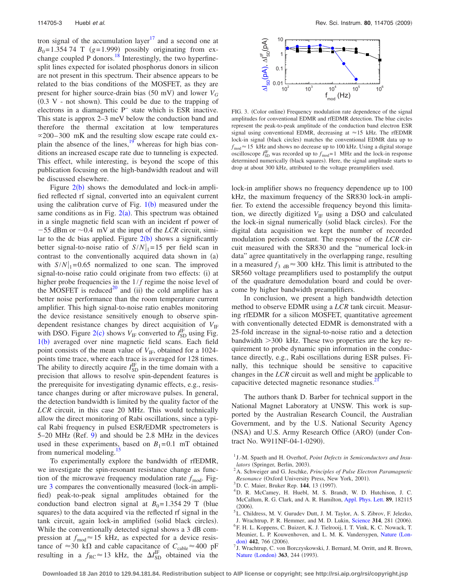tron signal of the accumulation layer<sup>17</sup> and a second one at  $B_0$ =1.354 74 T  $(g=1.999)$  possibly originating from exchange coupled P donors.<sup>18</sup> Interestingly, the two hyperfinesplit lines expected for isolated phosphorus donors in silicon are not present in this spectrum. Their absence appears to be related to the bias conditions of the MOSFET, as they are present for higher source-drain bias (50 mV) and lower *V<sub>G</sub>*  $(0.3 \tV - not shown)$ . This could be due to the trapping of electrons in a diamagnetic P<sup>−</sup> state which is ESR inactive. This state is approx 2–3 meV below the conduction band and therefore the thermal excitation at low temperatures  $\alpha$ 200–300 mK and the resulting slow escape rate could explain the absence of the lines, $19$ <sup>ty</sup> whereas for high bias conditions an increased escape rate due to tunneling is expected. This effect, while interesting, is beyond the scope of this publication focusing on the high-bandwidth readout and will be discussed elsewhere.

Figure  $2(b)$  $2(b)$  shows the demodulated and lock-in amplified reflected rf signal, converted into an equivalent current using the calibration curve of Fig.  $1(b)$  $1(b)$  measured under the same conditions as in Fig.  $2(a)$  $2(a)$ . This spectrum was obtained in a single magnetic field scan with an incident rf power of  $-55$  dBm or  $\sim 0.4$  mV at the input of the *LCR* circuit, similar to the dc bias applied. Figure  $2(b)$  $2(b)$  shows a significantly better signal-to-noise ratio of  $S/N|_1=15$  per field scan in contrast to the conventionally acquired data shown in (a) with  $S/N|_1=0.65$  normalized to one scan. The improved signal-to-noise ratio could originate from two effects: (i) at higher probe frequencies in the  $1/f$  regime the noise level of the MOSFET is reduced<sup>20</sup> and (ii) the cold amplifier has a better noise performance than the room temperature current amplifier. This high signal-to-noise ratio enables monitoring the device resistance sensitively enough to observe spindependent resistance changes by direct acquisition of  $V_{\text{IF}}$ with DSO. Figure [2](#page-2-1)(c) shows  $V_{\text{IF}}$  converted to  $I_{\text{SD}}^{\text{IF}}$  using Fig. [1](#page-2-0)(b) averaged over nine magnetic field scans. Each field point consists of the mean value of  $V_{\text{IF}}$ , obtained for a 1024points time trace, where each trace is averaged for 128 times. The ability to directly acquire  $I_{SD}^{\text{IF}}$  in the time domain with a precision that allows to resolve spin-dependent features is the prerequisite for investigating dynamic effects, e.g., resistance changes during or after microwave pulses. In general, the detection bandwidth is limited by the quality factor of the *LCR* circuit, in this case 20 MHz. This would technically allow the direct monitoring of Rabi oscillations, since a typical Rabi frequency in pulsed ESR/EDMR spectrometers is 5-20 MHz (Ref. [9](#page-4-1)) and should be 2.8 MHz in the devices used in these experiments, based on  $B_1=0.1$  mT obtained from numerical modeling.<sup>15</sup>

To experimentally explore the bandwidth of rfEDMR, we investigate the spin-resonant resistance change as function of the microwave frequency modulation rate  $f_{\text{mod}}$ . Fig-ure [3](#page-3-5) compares the conventionally measured (lock-in amplified) peak-to-peak signal amplitudes obtained for the conduction band electron signal at  $B_0 = 1.35429$  T (blue squares) to the data acquired via the reflected rf signal in the tank circuit, again lock-in amplified (solid black circles). While the conventionally detected signal shows a 3 dB compression at  $f_{\text{mod}} \approx 15$  kHz, as expected for a device resistance of  $\approx$ 30 k $\Omega$  and cable capacitance of  $C_{\text{cable}} \approx$  400 pF resulting in a  $f_{\text{RC}} \approx 13$  kHz, the  $\Delta I_{\text{SD}}^{\text{IF}}$  obtained via the

<span id="page-3-5"></span>

FIG. 3. (Color online) Frequency modulation rate dependence of the signal amplitudes for conventional EDMR and rfEDMR detection. The blue circles represent the peak-to-peak amplitude of the conduction band electron ESR signal using conventional EDMR, decreasing at  $\approx$  15 kHz. The rfEDMR lock-in signal (black circles) matches the conventional EDMR data up to  $f_{\text{mod}} \approx 15$  kHz and shows no decrease up to 100 kHz. Using a digital storage oscilloscope  $I_{SD}^{IF}$  was recorded up to  $f_{mod}=1$  MHz and the lock-in response determined numerically (black squares). Here, the signal amplitude starts to drop at about 300 kHz, attributed to the voltage preamplifiers used.

lock-in amplifier shows no frequency dependence up to 100 kHz, the maximum frequency of the SR830 lock-in amplifier. To extend the accessible frequency beyond this limitation, we directly digitized  $V_{\text{IF}}$  using a DSO and calculated the lock-in signal numerically (solid black circles). For the digital data acquisition we kept the number of recorded modulation periods constant. The response of the *LCR* circuit measured with the SR830 and the "numerical lock-in data" agree quantitatively in the overlapping range, resulting in a measured  $f_{3 \text{ dB}} \approx 300 \text{ kHz}$ . This limit is attributed to the SR560 voltage preamplifiers used to postamplify the output of the quadrature demodulation board and could be overcome by higher bandwidth preamplifiers.

In conclusion, we present a high bandwidth detection method to observe EDMR using a *LCR* tank circuit. Measuring rfEDMR for a silicon MOSFET, quantitative agreement with conventionally detected EDMR is demonstrated with a 25-fold increase in the signal-to-noise ratio and a detection bandwidth  $>300$  kHz. These two properties are the key requirement to probe dynamic spin information in the conductance directly, e.g., Rabi oscillations during ESR pulses. Finally, this technique should be sensitive to capacitive changes in the *LCR* circuit as well and might be applicable to capacitive detected magnetic resonance studies.<sup>2</sup>

The authors thank D. Barber for technical support in the National Magnet Laboratory at UNSW. This work is supported by the Australian Research Council, the Australian Government, and by the U.S. National Security Agency (NSA) and U.S. Army Research Office (ARO) (under Contract No. W911NF-04-1-0290).

- <span id="page-3-2"></span> $^{3}$ D. C. Maier, Bruker Rep. **144**, 13 (1997).
- <span id="page-3-3"></span>D. R. McCamey, H. Huebl, M. S. Brandt, W. D. Hutchison, J. C. McCallum, R. G. Clark, and A. R. Hamilton, [Appl. Phys. Lett.](http://dx.doi.org/10.1063/1.2358928) **89**, 182115  $(2006)$ .
- <span id="page-3-4"></span><sup>5</sup>L. Childress, M. V. Gurudev Dutt, J. M. Taylor, A. S. Zibrov, F. Jelezko,
- J. Wrachtrup, P. R. Hemmer, and M. D. Lukin, [Science](http://dx.doi.org/10.1126/science.1131871) **314**, 281 (2006).<br><sup>6</sup> E. H. J. Konnons, C. Puizert, K. J. Tielrooii, J. T. Vink, K. C. Nouvek, T. <sup>6</sup>F. H. L. Koppens, C. Buizert, K. J. Tielrooij, I. T. Vink, K. C. Nowack, T.
- Meunier, L. P. Kouwenhoven, and L. M. K. Vandersypen, [Nature](http://dx.doi.org/10.1038/nature05065) (Lon $\frac{\text{don}}{7}$  $\frac{\text{don}}{7}$  $\frac{\text{don}}{7}$  **Weeklyn** G von **F**
- <sup>7</sup> J. Wrachtrup, C. von Borczyskowski, J. Bernard, M. Orritt, and R. Brown, Nature ([London](http://dx.doi.org/10.1038/363244a0)) 363, 244 (1993).

<span id="page-3-0"></span><sup>&</sup>lt;sup>1</sup> J.-M. Spaeth and H. Overhof, *Point Defects in Semiconductors and Insulators* (Springer, Berlin, 2003).

<span id="page-3-1"></span>A. Schweiger and G. Jeschke, *Principles of Pulse Electron Paramagnetic Resonance* (Oxford University Press, New York, 2001).